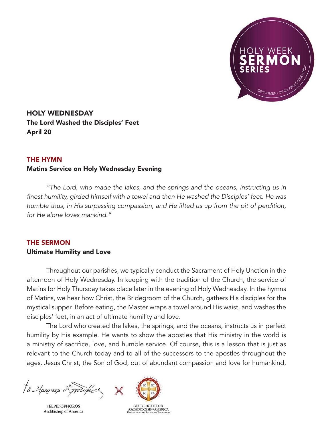

HOLY WEDNESDAY The Lord Washed the Disciples' Feet April 20

## THE HYMN

## Matins Service on Holy Wednesday Evening

*"The Lord, who made the lakes, and the springs and the oceans, instructing us in*  finest humility, girded himself with a towel and then He washed the Disciples' feet. He was humble thus, in His surpassing compassion, and He lifted us up from the pit of perdition, for He alone loves mankind."

## THE SERMON

## Ultimate Humility and Love

Throughout our parishes, we typically conduct the Sacrament of Holy Unction in the afternoon of Holy Wednesday. In keeping with the tradition of the Church, the service of Matins for Holy Thursday takes place later in the evening of Holy Wednesday. In the hymns of Matins, we hear how Christ, the Bridegroom of the Church, gathers His disciples for the mystical supper. Before eating, the Master wraps a towel around His waist, and washes the disciples' feet, in an act of ultimate humility and love.

The Lord who created the lakes, the springs, and the oceans, instructs us in perfect humility by His example. He wants to show the apostles that His ministry in the world is a ministry of sacrifice, love, and humble service. Of course, this is a lesson that is just as relevant to the Church today and to all of the successors to the apostles throughout the ages. Jesus Christ, the Son of God, out of abundant compassion and love for humankind,

to Aprovents 25 product

**†ELPIDOPHOROS** Archbishop of America